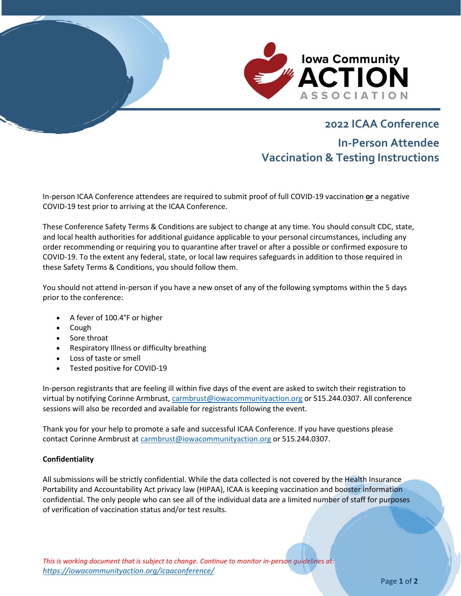

# **2022 ICAA Conference In-Person Attendee Vaccination & Testing Instructions**

In-person ICAA Conference attendees are required to submit proof of full COVID-19 vaccination **or** a negative COVID-19 test prior to arriving at the ICAA Conference.

These Conference Safety Terms & Conditions are subject to change at any time. You should consult CDC, state, and local health authorities for additional guidance applicable to your personal circumstances, including any order recommending or requiring you to quarantine after travel or after a possible or confirmed exposure to COVID-19. To the extent any federal, state, or local law requires safeguards in addition to those required in these Safety Terms & Conditions, you should follow them.

You should not attend in-person if you have a new onset of any of the following symptoms within the 5 days prior to the conference:

- A fever of 100.4°F or higher
- Cough
- Sore throat
- Respiratory Illness or difficulty breathing
- Loss of taste or smell
- Tested positive for COVID-19

In-person registrants that are feeling ill within five days of the event are asked to switch their registration to virtual by notifying Corinne Armbrust[, carmbrust@iowacommunityaction.org](mailto:carmbrust@iowacommunityaction.org) or 515.244.0307. All conference sessions will also be recorded and available for registrants following the event.

Thank you for your help to promote a safe and successful ICAA Conference. If you have questions please contact Corinne Armbrust a[t carmbrust@iowacommunityaction.org](mailto:carmbrust@iowacommunityaction.org) or 515.244.0307.

## **Confidentiality**

All submissions will be strictly confidential. While the data collected is not covered by the Health Insurance Portability and Accountability Act privacy law (HIPAA), ICAA is keeping vaccination and booster information confidential. The only people who can see all of the individual data are a limited number of staff for purposes of verification of vaccination status and/or test results.